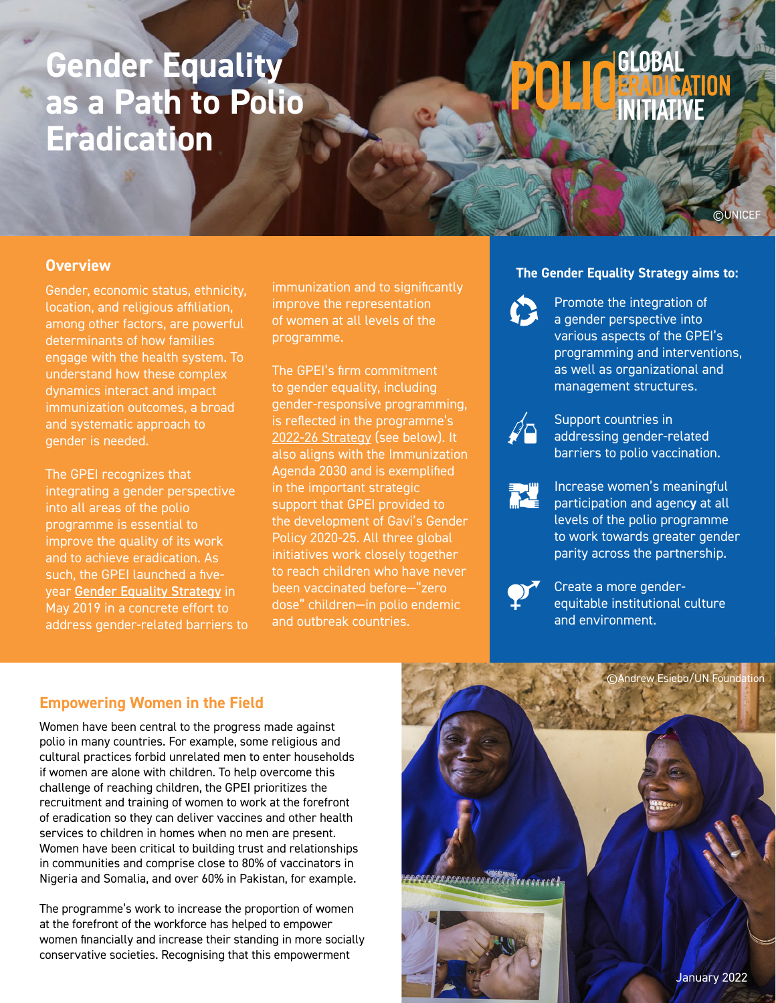## **Gender Equality as a Path to Polio Eradication**

# GLOBAI **NITIATIV**

#### **Overview**

Gender, economic status, ethnicity, location, and religious affiliation, among other factors, are powerful determinants of how families engage with the health system. To understand how these complex dynamics interact and impact immunization outcomes, a broad and systematic approach to gender is needed.

The GPEI recognizes that integrating a gender perspective into all areas of the polio programme is essential to improve the quality of its work and to achieve eradication. As such, the GPEI launched a fiveyear [Gender Equality Strategy](https://polioeradication.org/wp-content/uploads/2020/07/Gender_Strategy_EN.pdf ) in May 2019 in a concrete effort to address gender-related barriers to immunization and to significantly improve the representation of women at all levels of the programme.

The GPEI's firm commitment to gender equality, including gender-responsive programming, is reflected in the programme's [2022-26 Strategy](https://polioeradication.org/gpei-strategy-2022-2026/) (see below). It also aligns with the Immunization Agenda 2030 and is exemplified in the important strategic support that GPEI provided to the development of Gavi's Gender Policy 2020-25. All three global initiatives work closely together to reach children who have never been vaccinated before—"zero dose" children—in polio endemic and outbreak countries.

#### **The Gender Equality Strategy aims to:**

Promote the integration of a gender perspective into various aspects of the GPEI's programming and interventions, as well as organizational and management structures.

©UNICEF



Support countries in addressing gender-related barriers to polio vaccination.



Increase women's meaningful participation and agenc**y** at all levels of the polio programme to work towards greater gender parity across the partnership.



Create a more genderequitable institutional culture and environment.

#### **Empowering Women in the Field**

Women have been central to the progress made against polio in many countries. For example, some religious and cultural practices forbid unrelated men to enter households if women are alone with children. To help overcome this challenge of reaching children, the GPEI prioritizes the recruitment and training of women to work at the forefront of eradication so they can deliver vaccines and other health services to children in homes when no men are present. Women have been critical to building trust and relationships in communities and comprise close to 80% of vaccinators in Nigeria and Somalia, and over 60% in Pakistan, for example.

The programme's work to increase the proportion of women at the forefront of the workforce has helped to empower women financially and increase their standing in more socially conservative societies. Recognising that this empowerment